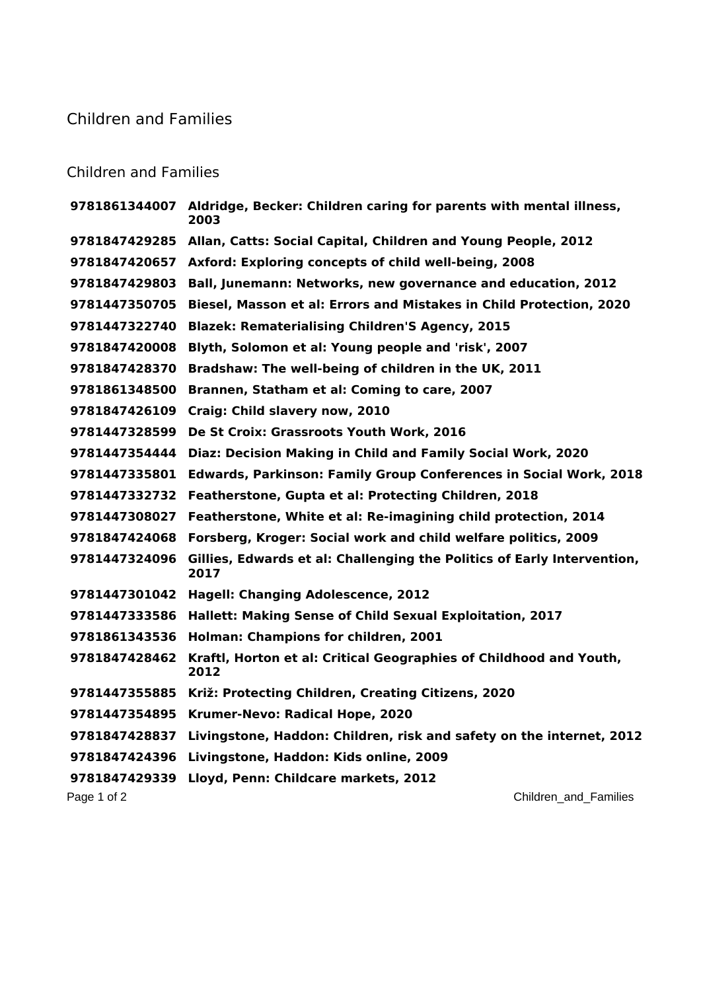## Children and Families

## Children and Families

|               | 9781861344007 Aldridge, Becker: Children caring for parents with mental illness,<br>2003 |
|---------------|------------------------------------------------------------------------------------------|
| 9781847429285 | Allan, Catts: Social Capital, Children and Young People, 2012                            |
| 9781847420657 | Axford: Exploring concepts of child well-being, 2008                                     |
| 9781847429803 | <b>Ball, Junemann: Networks, new governance and education, 2012</b>                      |
| 9781447350705 | Biesel, Masson et al: Errors and Mistakes in Child Protection, 2020                      |
| 9781447322740 | <b>Blazek: Rematerialising Children'S Agency, 2015</b>                                   |
| 9781847420008 | Blyth, Solomon et al: Young people and 'risk', 2007                                      |
| 9781847428370 | Bradshaw: The well-being of children in the UK, 2011                                     |
| 9781861348500 | Brannen, Statham et al: Coming to care, 2007                                             |
| 9781847426109 | Craig: Child slavery now, 2010                                                           |
| 9781447328599 | De St Croix: Grassroots Youth Work, 2016                                                 |
| 9781447354444 | Diaz: Decision Making in Child and Family Social Work, 2020                              |
| 9781447335801 | <b>Edwards, Parkinson: Family Group Conferences in Social Work, 2018</b>                 |
| 9781447332732 | Featherstone, Gupta et al: Protecting Children, 2018                                     |
| 9781447308027 | Featherstone, White et al: Re-imagining child protection, 2014                           |
| 9781847424068 | Forsberg, Kroger: Social work and child welfare politics, 2009                           |
| 9781447324096 | Gillies, Edwards et al: Challenging the Politics of Early Intervention,<br>2017          |
| 9781447301042 | <b>Hagell: Changing Adolescence, 2012</b>                                                |
| 9781447333586 | Hallett: Making Sense of Child Sexual Exploitation, 2017                                 |
| 9781861343536 | Holman: Champions for children, 2001                                                     |
| 9781847428462 | Kraftl, Horton et al: Critical Geographies of Childhood and Youth,<br>2012               |
| 9781447355885 | Križ: Protecting Children, Creating Citizens, 2020                                       |
| 9781447354895 | Krumer-Nevo: Radical Hope, 2020                                                          |
| 9781847428837 | Livingstone, Haddon: Children, risk and safety on the internet, 2012                     |
| 9781847424396 | Livingstone, Haddon: Kids online, 2009                                                   |
| 9781847429339 | Lloyd, Penn: Childcare markets, 2012                                                     |
| Page 1 of 2   | Children_and_Families                                                                    |